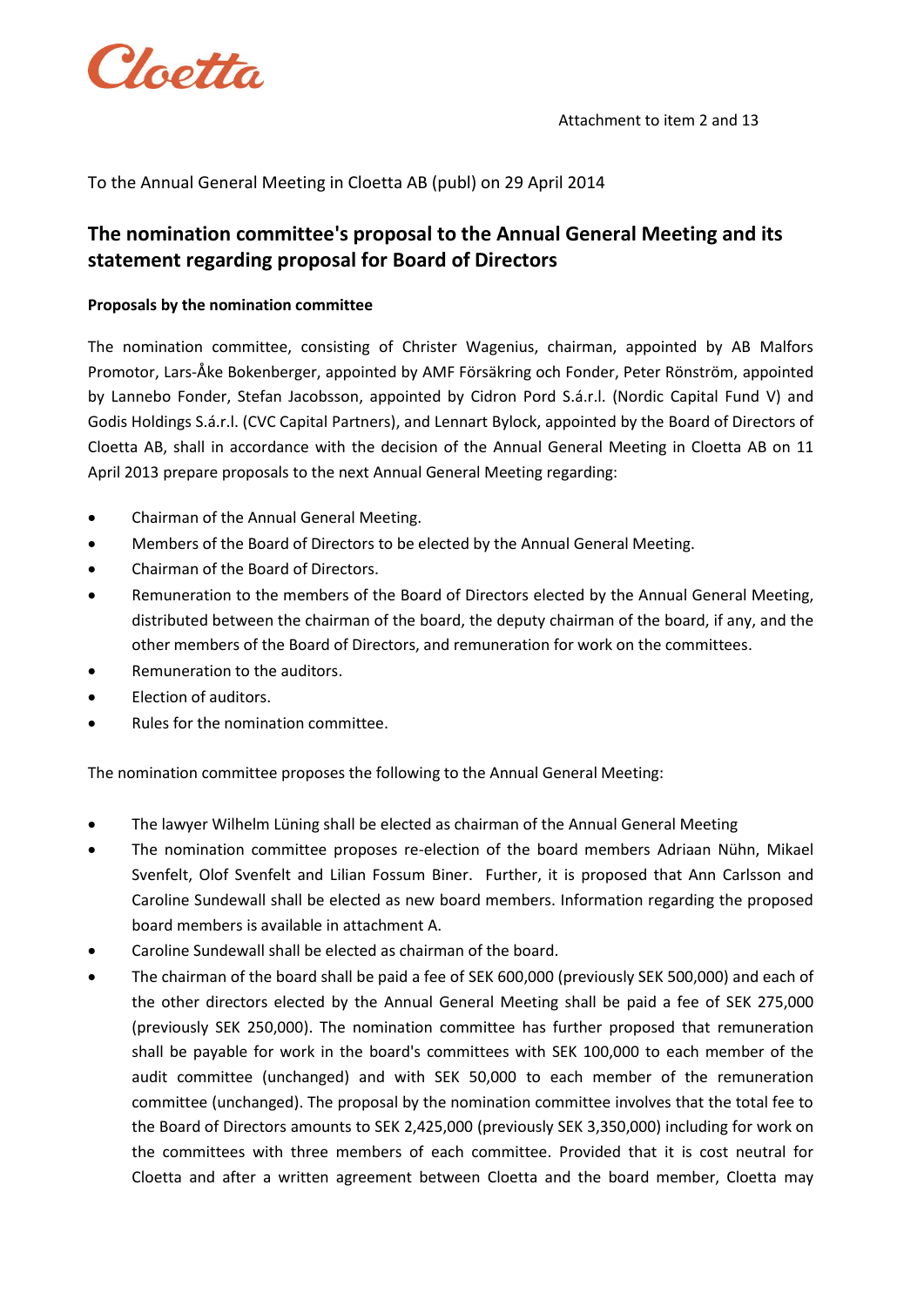

## To the Annual General Meeting in Cloetta AB (publ) on 29 April 2014

## **The nomination committee's proposal to the Annual General Meeting and its statement regarding proposal for Board of Directors**

## **Proposals by the nomination committee**

The nomination committee, consisting of Christer Wagenius, chairman, appointed by AB Malfors Promotor, Lars-Åke Bokenberger, appointed by AMF Försäkring och Fonder, Peter Rönström, appointed by Lannebo Fonder, Stefan Jacobsson, appointed by Cidron Pord S.á.r.l. (Nordic Capital Fund V) and Godis Holdings S.á.r.l. (CVC Capital Partners), and Lennart Bylock, appointed by the Board of Directors of Cloetta AB, shall in accordance with the decision of the Annual General Meeting in Cloetta AB on 11 April 2013 prepare proposals to the next Annual General Meeting regarding:

- Chairman of the Annual General Meeting.
- Members of the Board of Directors to be elected by the Annual General Meeting.
- Chairman of the Board of Directors.
- Remuneration to the members of the Board of Directors elected by the Annual General Meeting, distributed between the chairman of the board, the deputy chairman of the board, if any, and the other members of the Board of Directors, and remuneration for work on the committees.
- Remuneration to the auditors.
- Election of auditors.
- Rules for the nomination committee.

The nomination committee proposes the following to the Annual General Meeting:

- The lawyer Wilhelm Lüning shall be elected as chairman of the Annual General Meeting
- The nomination committee proposes re-election of the board members Adriaan Nühn, Mikael Svenfelt, Olof Svenfelt and Lilian Fossum Biner. Further, it is proposed that Ann Carlsson and Caroline Sundewall shall be elected as new board members. Information regarding the proposed board members is available in attachment A.
- Caroline Sundewall shall be elected as chairman of the board.
- The chairman of the board shall be paid a fee of SEK 600,000 (previously SEK 500,000) and each of the other directors elected by the Annual General Meeting shall be paid a fee of SEK 275,000 (previously SEK 250,000). The nomination committee has further proposed that remuneration shall be payable for work in the board's committees with SEK 100,000 to each member of the audit committee (unchanged) and with SEK 50,000 to each member of the remuneration committee (unchanged). The proposal by the nomination committee involves that the total fee to the Board of Directors amounts to SEK 2,425,000 (previously SEK 3,350,000) including for work on the committees with three members of each committee. Provided that it is cost neutral for Cloetta and after a written agreement between Cloetta and the board member, Cloetta may